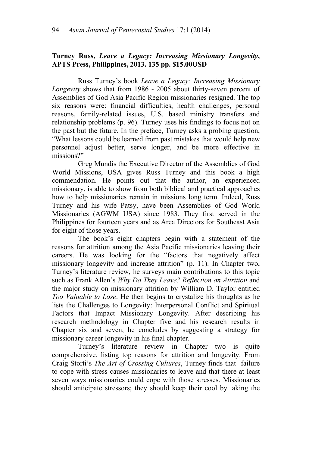## **Turney Russ,** *Leave a Legacy: Increasing Missionary Longevity***, APTS Press, Philippines, 2013. 135 pp. \$15.00USD**

Russ Turney's book *Leave a Legacy: Increasing Missionary Longevity* shows that from 1986 - 2005 about thirty-seven percent of Assemblies of God Asia Pacific Region missionaries resigned. The top six reasons were: financial difficulties, health challenges, personal reasons, family-related issues, U.S. based ministry transfers and relationship problems (p. 96). Turney uses his findings to focus not on the past but the future. In the preface, Turney asks a probing question, "What lessons could be learned from past mistakes that would help new personnel adjust better, serve longer, and be more effective in missions?"

Greg Mundis the Executive Director of the Assemblies of God World Missions, USA gives Russ Turney and this book a high commendation. He points out that the author, an experienced missionary, is able to show from both biblical and practical approaches how to help missionaries remain in missions long term. Indeed, Russ Turney and his wife Patsy, have been Assemblies of God World Missionaries (AGWM USA) since 1983. They first served in the Philippines for fourteen years and as Area Directors for Southeast Asia for eight of those years.

The book's eight chapters begin with a statement of the reasons for attrition among the Asia Pacific missionaries leaving their careers. He was looking for the "factors that negatively affect missionary longevity and increase attrition" (p. 11). In Chapter two, Turney's literature review, he surveys main contributions to this topic such as Frank Allen's *Why Do They Leave? Reflection on Attrition* and the major study on missionary attrition by William D. Taylor entitled *Too Valuable to Lose*. He then begins to crystalize his thoughts as he lists the Challenges to Longevity: Interpersonal Conflict and Spiritual Factors that Impact Missionary Longevity. After describing his research methodology in Chapter five and his research results in Chapter six and seven, he concludes by suggesting a strategy for missionary career longevity in his final chapter.

Turney's literature review in Chapter two is quite comprehensive, listing top reasons for attrition and longevity. From Craig Storti's *The Art of Crossing Cultures*, Turney finds that failure to cope with stress causes missionaries to leave and that there at least seven ways missionaries could cope with those stresses. Missionaries should anticipate stressors; they should keep their cool by taking the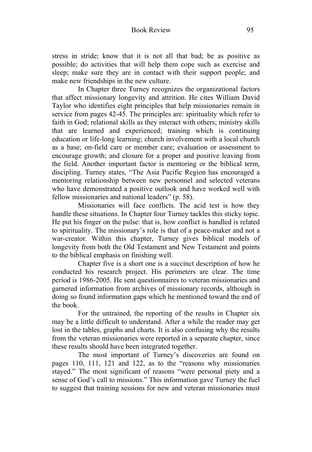stress in stride; know that it is not all that bad; be as positive as possible; do activities that will help them cope such as exercise and sleep; make sure they are in contact with their support people; and make new friendships in the new culture.

In Chapter three Turney recognizes the organizational factors that affect missionary longevity and attrition. He cites William David Taylor who identifies eight principles that help missionaries remain in service from pages 42-45. The principles are: spirituality which refer to faith in God; relational skills as they interact with others; ministry skills that are learned and experienced; training which is continuing education or life-long learning; church involvement with a local church as a base; on-field care or member care; evaluation or assessment to encourage growth; and closure for a proper and positive leaving from the field. Another important factor is mentoring or the biblical term, discipling. Turney states, "The Asia Pacific Region has encouraged a mentoring relationship between new personnel and selected veterans who have demonstrated a positive outlook and have worked well with fellow missionaries and national leaders" (p. 58).

Missionaries will face conflicts. The acid test is how they handle these situations. In Chapter four Turney tackles this sticky topic. He put his finger on the pulse: that is, how conflict is handled is related to spirituality. The missionary's role is that of a peace-maker and not a war-creator. Within this chapter, Turney gives biblical models of longevity from both the Old Testament and New Testament and points to the biblical emphasis on finishing well.

Chapter five is a short one is a succinct description of how he conducted his research project. His perimeters are clear. The time period is 1986-2005. He sent questionnaires to veteran missionaries and garnered information from archives of missionary records, although in doing so found information gaps which he mentioned toward the end of the book.

For the untrained, the reporting of the results in Chapter six may be a little difficult to understand. After a while the reader may get lost in the tables, graphs and charts. It is also confusing why the results from the veteran missionaries were reported in a separate chapter, since these results should have been integrated together.

The most important of Turney's discoveries are found on pages 110, 111, 121 and 122, as to the "reasons why missionaries stayed." The most significant of reasons "were personal piety and a sense of God's call to missions." This information gave Turney the fuel to suggest that training sessions for new and veteran missionaries must